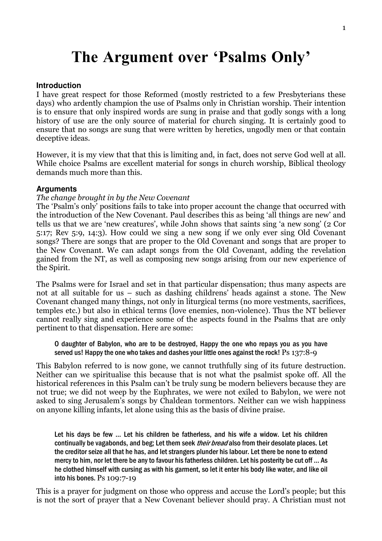# The Argument over 'Psalms Only'

#### **Introduction**

I have great respect for those Reformed (mostly restricted to a few Presbyterians these days) who ardently champion the use of Psalms only in Christian worship. Their intention is to ensure that only inspired words are sung in praise and that godly songs with a long history of use are the only source of material for church singing. It is certainly good to ensure that no songs are sung that were written by heretics, ungodly men or that contain deceptive ideas.

However, it is my view that that this is limiting and, in fact, does not serve God well at all. While choice Psalms are excellent material for songs in church worship, Biblical theology demands much more than this.

#### **Arguments**

#### The change brought in by the New Covenant

The 'Psalm's only' positions fails to take into proper account the change that occurred with the introduction of the New Covenant. Paul describes this as being 'all things are new' and tells us that we are 'new creatures', while John shows that saints sing 'a new song' (2 Cor 5:17; Rev 5:9, 14:3). How could we sing a new song if we only ever sing Old Covenant songs? There are songs that are proper to the Old Covenant and songs that are proper to the New Covenant. We can adapt songs from the Old Covenant, adding the revelation gained from the NT, as well as composing new songs arising from our new experience of the Spirit.

The Psalms were for Israel and set in that particular dispensation; thus many aspects are not at all suitable for us – such as dashing childrens' heads against a stone. The New Covenant changed many things, not only in liturgical terms (no more vestments, sacrifices, temples etc.) but also in ethical terms (love enemies, non-violence). Thus the NT believer cannot really sing and experience some of the aspects found in the Psalms that are only pertinent to that dispensation. Here are some:

O daughter of Babylon, who are to be destroyed, Happy the one who repays you as you have served us! Happy the one who takes and dashes your little ones against the rock! Ps 137:8-9

This Babylon referred to is now gone, we cannot truthfully sing of its future destruction. Neither can we spiritualise this because that is not what the psalmist spoke off. All the historical references in this Psalm can't be truly sung be modern believers because they are not true; we did not weep by the Euphrates, we were not exiled to Babylon, we were not asked to sing Jerusalem's songs by Chaldean tormentors. Neither can we wish happiness on anyone killing infants, let alone using this as the basis of divine praise.

Let his days be few … Let his children be fatherless, and his wife a widow. Let his children continually be vagabonds, and beg; Let them seek *their bread* also from their desolate places. Let the creditor seize all that he has, and let strangers plunder his labour. Let there be none to extend mercy to him, nor let there be any to favour his fatherless children. Let his posterity be cut off … As he clothed himself with cursing as with his garment, so let it enter his body like water, and like oil into his bones. Ps 109:7-19

This is a prayer for judgment on those who oppress and accuse the Lord's people; but this is not the sort of prayer that a New Covenant believer should pray. A Christian must not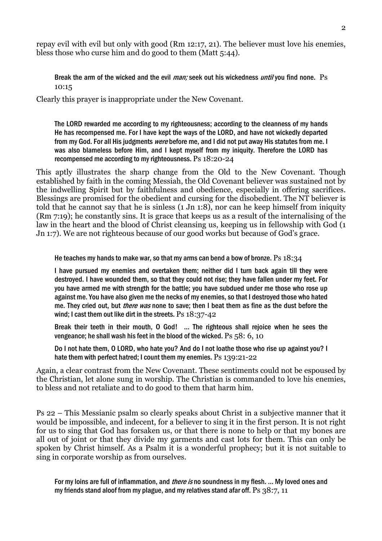repay evil with evil but only with good (Rm 12:17, 21). The believer must love his enemies, bless those who curse him and do good to them (Matt 5:44).

Break the arm of the wicked and the evil *man;* seek out his wickedness *until* you find none. Ps 10:15

Clearly this prayer is inappropriate under the New Covenant.

The LORD rewarded me according to my righteousness; according to the cleanness of my hands He has recompensed me. For I have kept the ways of the LORD, and have not wickedly departed from my God. For all His judgments *were* before me, and I did not put away His statutes from me. I was also blameless before Him, and I kept myself from my iniquity. Therefore the LORD has recompensed me according to my righteousness. Ps 18:20-24

This aptly illustrates the sharp change from the Old to the New Covenant. Though established by faith in the coming Messiah, the Old Covenant believer was sustained not by the indwelling Spirit but by faithfulness and obedience, especially in offering sacrifices. Blessings are promised for the obedient and cursing for the disobedient. The NT believer is told that he cannot say that he is sinless (1 Jn 1:8), nor can he keep himself from iniquity (Rm 7:19); he constantly sins. It is grace that keeps us as a result of the internalising of the law in the heart and the blood of Christ cleansing us, keeping us in fellowship with God (1 Jn 1:7). We are not righteous because of our good works but because of God's grace.

He teaches my hands to make war, so that my arms can bend a bow of bronze. Ps  $18:34$ 

I have pursued my enemies and overtaken them; neither did I turn back again till they were destroyed. I have wounded them, so that they could not rise; they have fallen under my feet. For you have armed me with strength for the battle; you have subdued under me those who rose up against me. You have also given me the necks of my enemies, so that I destroyed those who hated me. They cried out, but *there was* none to save; then I beat them as fine as the dust before the wind; I cast them out like dirt in the streets. Ps 18:37-42

Break their teeth in their mouth, O God! … The righteous shall rejoice when he sees the vengeance; he shall wash his feet in the blood of the wicked. Ps 58: 6, 10

Do I not hate them, O LORD, who hate you? And do I not loathe those who rise up against you? I hate them with perfect hatred; I count them my enemies. Ps 139:21-22

Again, a clear contrast from the New Covenant. These sentiments could not be espoused by the Christian, let alone sung in worship. The Christian is commanded to love his enemies, to bless and not retaliate and to do good to them that harm him.

Ps 22 – This Messianic psalm so clearly speaks about Christ in a subjective manner that it would be impossible, and indecent, for a believer to sing it in the first person. It is not right for us to sing that God has forsaken us, or that there is none to help or that my bones are all out of joint or that they divide my garments and cast lots for them. This can only be spoken by Christ himself. As a Psalm it is a wonderful prophecy; but it is not suitable to sing in corporate worship as from ourselves.

For my loins are full of inflammation, and *there is* no soundness in my flesh. ... My loved ones and my friends stand aloof from my plague, and my relatives stand afar off. Ps  $38:7, 11$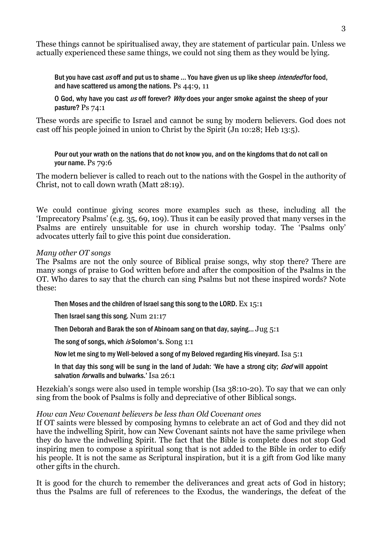These things cannot be spiritualised away, they are statement of particular pain. Unless we actually experienced these same things, we could not sing them as they would be lying.

But you have cast us off and put us to shame ... You have given us up like sheep *intended* for food, and have scattered us among the nations. Ps 44:9, 11

O God, why have you cast us off forever? Why does your anger smoke against the sheep of your pasture? Ps 74:1

These words are specific to Israel and cannot be sung by modern believers. God does not cast off his people joined in union to Christ by the Spirit (Jn 10:28; Heb 13:5).

Pour out your wrath on the nations that do not know you, and on the kingdoms that do not call on your name. Ps 79:6

The modern believer is called to reach out to the nations with the Gospel in the authority of Christ, not to call down wrath (Matt 28:19).

We could continue giving scores more examples such as these, including all the 'Imprecatory Psalms' (e.g. 35, 69, 109). Thus it can be easily proved that many verses in the Psalms are entirely unsuitable for use in church worship today. The 'Psalms only' advocates utterly fail to give this point due consideration.

## Many other OT songs

The Psalms are not the only source of Biblical praise songs, why stop there? There are many songs of praise to God written before and after the composition of the Psalms in the OT. Who dares to say that the church can sing Psalms but not these inspired words? Note these:

Then Moses and the children of Israel sang this song to the LORD. Ex 15:1

Then Israel sang this song. Num 21:17

Then Deborah and Barak the son of Abinoam sang on that day, saying… Jug 5:1

The song of songs, which is Solomon's. Song 1:1

Now let me sing to my Well-beloved a song of my Beloved regarding His vineyard. Isa 5:1

In that day this song will be sung in the land of Judah: 'We have a strong city; God will appoint salvation *for* walls and bulwarks.' Isa 26:1

Hezekiah's songs were also used in temple worship (Isa 38:10-20). To say that we can only sing from the book of Psalms is folly and depreciative of other Biblical songs.

## How can New Covenant believers be less than Old Covenant ones

If OT saints were blessed by composing hymns to celebrate an act of God and they did not have the indwelling Spirit, how can New Covenant saints not have the same privilege when they do have the indwelling Spirit. The fact that the Bible is complete does not stop God inspiring men to compose a spiritual song that is not added to the Bible in order to edify his people. It is not the same as Scriptural inspiration, but it is a gift from God like many other gifts in the church.

It is good for the church to remember the deliverances and great acts of God in history; thus the Psalms are full of references to the Exodus, the wanderings, the defeat of the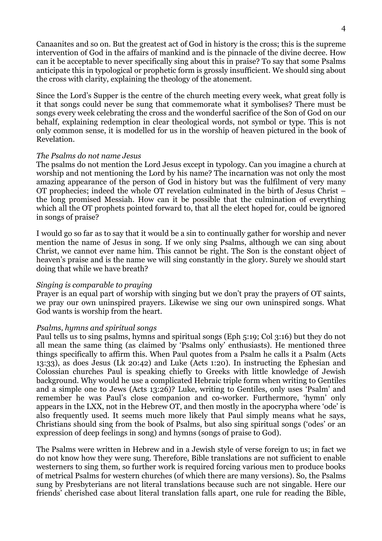Canaanites and so on. But the greatest act of God in history is the cross; this is the supreme intervention of God in the affairs of mankind and is the pinnacle of the divine decree. How can it be acceptable to never specifically sing about this in praise? To say that some Psalms anticipate this in typological or prophetic form is grossly insufficient. We should sing about the cross with clarity, explaining the theology of the atonement.

Since the Lord's Supper is the centre of the church meeting every week, what great folly is it that songs could never be sung that commemorate what it symbolises? There must be songs every week celebrating the cross and the wonderful sacrifice of the Son of God on our behalf, explaining redemption in clear theological words, not symbol or type. This is not only common sense, it is modelled for us in the worship of heaven pictured in the book of Revelation.

## The Psalms do not name Jesus

The psalms do not mention the Lord Jesus except in typology. Can you imagine a church at worship and not mentioning the Lord by his name? The incarnation was not only the most amazing appearance of the person of God in history but was the fulfilment of very many OT prophecies; indeed the whole OT revelation culminated in the birth of Jesus Christ – the long promised Messiah. How can it be possible that the culmination of everything which all the OT prophets pointed forward to, that all the elect hoped for, could be ignored in songs of praise?

I would go so far as to say that it would be a sin to continually gather for worship and never mention the name of Jesus in song. If we only sing Psalms, although we can sing about Christ, we cannot ever name him. This cannot be right. The Son is the constant object of heaven's praise and is the name we will sing constantly in the glory. Surely we should start doing that while we have breath?

#### Singing is comparable to praying

Prayer is an equal part of worship with singing but we don't pray the prayers of OT saints, we pray our own uninspired prayers. Likewise we sing our own uninspired songs. What God wants is worship from the heart.

#### Psalms, hymns and spiritual songs

Paul tells us to sing psalms, hymns and spiritual songs (Eph 5:19; Col 3:16) but they do not all mean the same thing (as claimed by 'Psalms only' enthusiasts). He mentioned three things specifically to affirm this. When Paul quotes from a Psalm he calls it a Psalm (Acts 13:33), as does Jesus (Lk 20:42) and Luke (Acts 1:20). In instructing the Ephesian and Colossian churches Paul is speaking chiefly to Greeks with little knowledge of Jewish background. Why would he use a complicated Hebraic triple form when writing to Gentiles and a simple one to Jews (Acts 13:26)? Luke, writing to Gentiles, only uses 'Psalm' and remember he was Paul's close companion and co-worker. Furthermore, 'hymn' only appears in the LXX, not in the Hebrew OT, and then mostly in the apocrypha where 'ode' is also frequently used. It seems much more likely that Paul simply means what he says, Christians should sing from the book of Psalms, but also sing spiritual songs ('odes' or an expression of deep feelings in song) and hymns (songs of praise to God).

The Psalms were written in Hebrew and in a Jewish style of verse foreign to us; in fact we do not know how they were sung. Therefore, Bible translations are not sufficient to enable westerners to sing them, so further work is required forcing various men to produce books of metrical Psalms for western churches (of which there are many versions). So, the Psalms sung by Presbyterians are not literal translations because such are not singable. Here our friends' cherished case about literal translation falls apart, one rule for reading the Bible,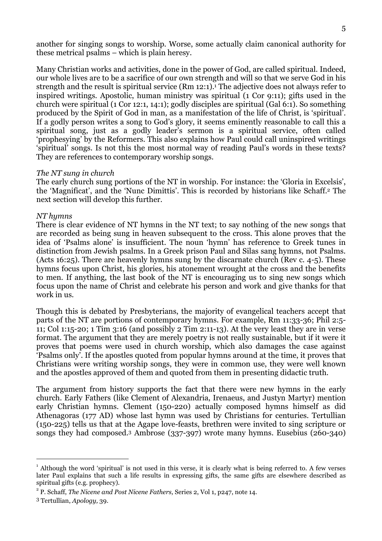another for singing songs to worship. Worse, some actually claim canonical authority for these metrical psalms – which is plain heresy.

Many Christian works and activities, done in the power of God, are called spiritual. Indeed, our whole lives are to be a sacrifice of our own strength and will so that we serve God in his strength and the result is spiritual service (Rm 12:1).<sup>1</sup> The adjective does not always refer to inspired writings. Apostolic, human ministry was spiritual (1 Cor 9:11); gifts used in the church were spiritual (1 Cor 12:1, 14:1); godly disciples are spiritual (Gal 6:1). So something produced by the Spirit of God in man, as a manifestation of the life of Christ, is 'spiritual'. If a godly person writes a song to God's glory, it seems eminently reasonable to call this a spiritual song, just as a godly leader's sermon is a spiritual service, often called 'prophesying' by the Reformers. This also explains how Paul could call uninspired writings 'spiritual' songs. Is not this the most normal way of reading Paul's words in these texts? They are references to contemporary worship songs.

#### The NT sung in church

The early church sung portions of the NT in worship. For instance: the 'Gloria in Excelsis', the 'Magnificat', and the 'Nunc Dimittis'. This is recorded by historians like Schaff.2 The next section will develop this further.

#### NT hymns

There is clear evidence of NT hymns in the NT text; to say nothing of the new songs that are recorded as being sung in heaven subsequent to the cross. This alone proves that the idea of 'Psalms alone' is insufficient. The noun 'hymn' has reference to Greek tunes in distinction from Jewish psalms. In a Greek prison Paul and Silas sang hymns, not Psalms. (Acts 16:25). There are heavenly hymns sung by the discarnate church (Rev c. 4-5). These hymns focus upon Christ, his glories, his atonement wrought at the cross and the benefits to men. If anything, the last book of the NT is encouraging us to sing new songs which focus upon the name of Christ and celebrate his person and work and give thanks for that work in us.

Though this is debated by Presbyterians, the majority of evangelical teachers accept that parts of the NT are portions of contemporary hymns. For example, Rm 11:33-36; Phil 2:5- 11; Col 1:15-20; 1 Tim 3:16 (and possibly 2 Tim 2:11-13). At the very least they are in verse format. The argument that they are merely poetry is not really sustainable, but if it were it proves that poems were used in church worship, which also damages the case against 'Psalms only'. If the apostles quoted from popular hymns around at the time, it proves that Christians were writing worship songs, they were in common use, they were well known and the apostles approved of them and quoted from them in presenting didactic truth.

The argument from history supports the fact that there were new hymns in the early church. Early Fathers (like Clement of Alexandria, Irenaeus, and Justyn Martyr) mention early Christian hymns. Clement (150-220) actually composed hymns himself as did Athenagoras (177 AD) whose last hymn was used by Christians for centuries. Tertullian (150-225) tells us that at the Agape love-feasts, brethren were invited to sing scripture or songs they had composed.3 Ambrose (337-397) wrote many hymns. Eusebius (260-340)

 $\overline{a}$ 

<sup>&</sup>lt;sup>1</sup> Although the word 'spiritual' is not used in this verse, it is clearly what is being referred to. A few verses later Paul explains that such a life results in expressing gifts, the same gifts are elsewhere described as spiritual gifts (e.g. prophecy).

 $2^2$  P. Schaff, *The Nicene and Post Nicene Fathers*, Series 2, Vol 1, p247, note 14.

<sup>3</sup> Tertullian, Apology, 39.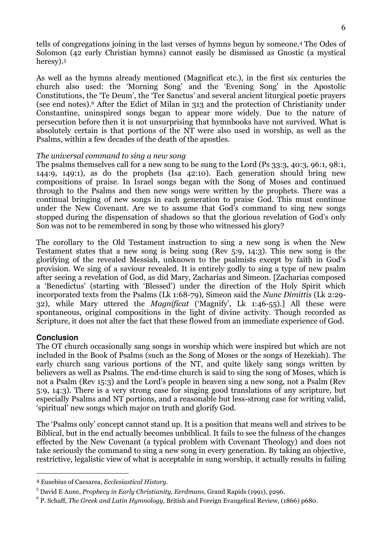tells of congregations joining in the last verses of hymns begun by someone.4 The Odes of Solomon (42 early Christian hymns) cannot easily be dismissed as Gnostic (a mystical heresy).<sup>5</sup>

As well as the hymns already mentioned (Magnificat etc.), in the first six centuries the church also used: the 'Morning Song' and the 'Evening Song' in the Apostolic Constitutions, the 'Te Deum', the 'Ter Sanctus' and several ancient liturgical poetic prayers (see end notes).6 After the Edict of Milan in 313 and the protection of Christianity under Constantine, uninspired songs began to appear more widely. Due to the nature of persecution before then it is not unsurprising that hymnbooks have not survived. What is absolutely certain is that portions of the NT were also used in worship, as well as the Psalms, within a few decades of the death of the apostles.

# The universal command to sing a new song

The psalms themselves call for a new song to be sung to the Lord (Ps 33:3, 40:3, 96:1, 98:1, 144:9, 149:1), as do the prophets (Isa 42:10). Each generation should bring new compositions of praise. In Israel songs began with the Song of Moses and continued through to the Psalms and then new songs were written by the prophets. There was a continual bringing of new songs in each generation to praise God. This must continue under the New Covenant. Are we to assume that God's command to sing new songs stopped during the dispensation of shadows so that the glorious revelation of God's only Son was not to be remembered in song by those who witnessed his glory?

The corollary to the Old Testament instruction to sing a new song is when the New Testament states that a new song is being sung (Rev 5:9, 14:3). This new song is the glorifying of the revealed Messiah, unknown to the psalmists except by faith in God's provision. We sing of a saviour revealed. It is entirely godly to sing a type of new psalm after seeing a revelation of God, as did Mary, Zacharias and Simeon. [Zacharias composed a 'Benedictus' (starting with 'Blessed') under the direction of the Holy Spirit which incorporated texts from the Psalms (Lk 1:68-79), Simeon said the Nunc Dimittis (Lk 2:29- 32), while Mary uttered the Magnificat ('Magnify', Lk 1:46-55).] All these were spontaneous, original compositions in the light of divine activity. Though recorded as Scripture, it does not alter the fact that these flowed from an immediate experience of God.

# **Conclusion**

 $\overline{a}$ 

The OT church occasionally sang songs in worship which were inspired but which are not included in the Book of Psalms (such as the Song of Moses or the songs of Hezekiah). The early church sang various portions of the NT, and quite likely sang songs written by believers as well as Psalms. The end-time church is said to sing the song of Moses, which is not a Psalm (Rev 15:3) and the Lord's people in heaven sing a new song, not a Psalm (Rev 5:9, 14:3). There is a very strong case for singing good translations of any scripture, but especially Psalms and NT portions, and a reasonable but less-strong case for writing valid, 'spiritual' new songs which major on truth and glorify God.

The 'Psalms only' concept cannot stand up. It is a position that means well and strives to be Biblical, but in the end actually becomes unbiblical. It fails to see the fulness of the changes effected by the New Covenant (a typical problem with Covenant Theology) and does not take seriously the command to sing a new song in every generation. By taking an objective, restrictive, legalistic view of what is acceptable in sung worship, it actually results in failing

<sup>4</sup> Eusebius of Caesarea, Ecclesiastical History.

 $^5$  David E Aune, Prophecy in Early Christianity, Eerdmans, Grand Rapids (1991), p296.

 $^6$  P. Schaff, *The Greek and Latin Hymnology, British and Foreign Evangelical Review, (1866) p680.*